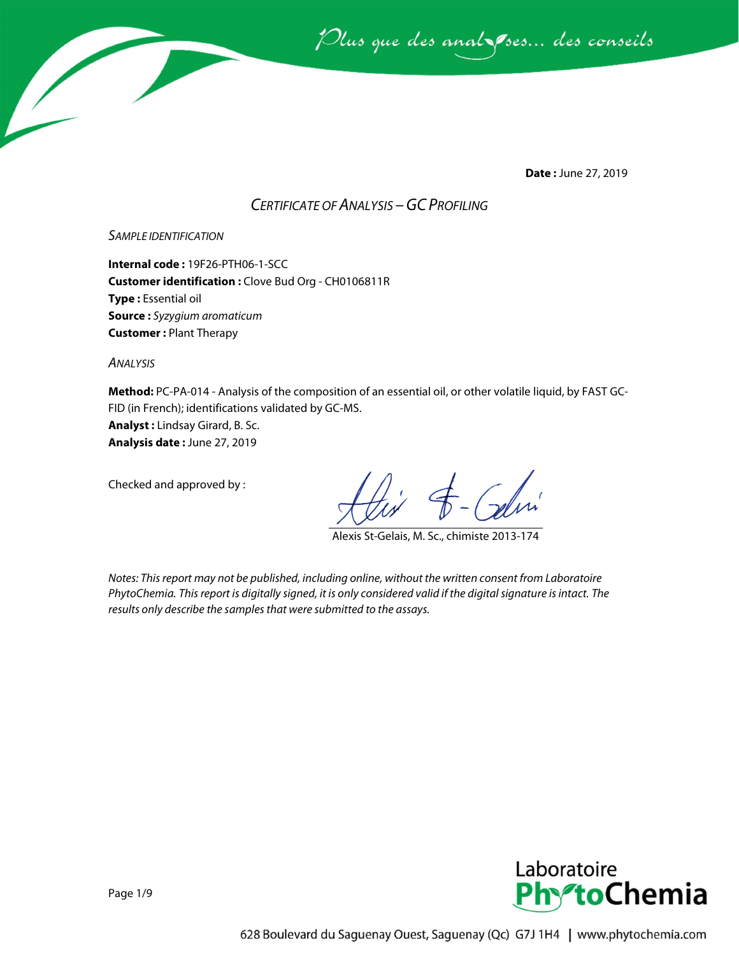

**Date :** June 27, 2019

## *CERTIFICATE OF ANALYSIS –GC PROFILING*

#### *SAMPLE IDENTIFICATION*

**Internal code :** 19F26-PTH06-1-SCC **Customer identification :** Clove Bud Org - CH0106811R **Type :** Essential oil **Source :** *Syzygium aromaticum* **Customer :** Plant Therapy

*ANALYSIS*

**Method:** PC-PA-014 - Analysis of the composition of an essential oil, or other volatile liquid, by FAST GC-FID (in French); identifications validated by GC-MS.

**Analyst :** Lindsay Girard, B. Sc. **Analysis date :** June 27, 2019

Checked and approved by :

Alexis St-Gelais, M. Sc., chimiste 2013-174

*Notes: This report may not be published, including online, without the written consent from Laboratoire PhytoChemia. This report is digitally signed, it is only considered valid if the digital signature is intact. The results only describe the samples that were submitted to the assays.*

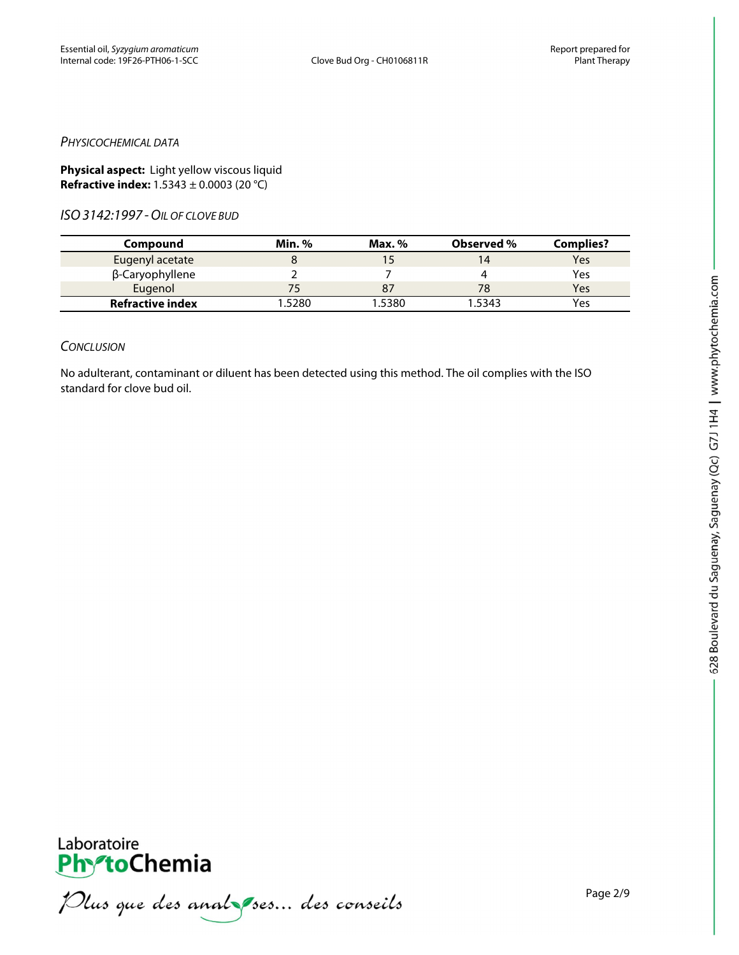#### *PHYSICOCHEMICAL DATA*

**Physical aspect:** Light yellow viscous liquid **Refractive index:** 1.5343 ± 0.0003 (20 °C)

*ISO3142:1997 -OIL OF CLOVE BUD*

| Compound                | Min.%  | Max. $%$ | Observed % | <b>Complies?</b> |
|-------------------------|--------|----------|------------|------------------|
| Eugenyl acetate         |        |          | 14         | Yes              |
| β-Caryophyllene         |        |          |            | Yes              |
| Eugenol                 |        |          |            | Yes              |
| <b>Refractive index</b> | 1.5280 | 1.5380   | 1.5343     | Yes              |

#### *CONCLUSION*

No adulterant, contaminant or diluent has been detected using this method. The oil complies with the ISO standard for clove bud oil.



**PhytoChemia**<br>*PhytoChemia*<br>*Plus que des analyses... des conseils*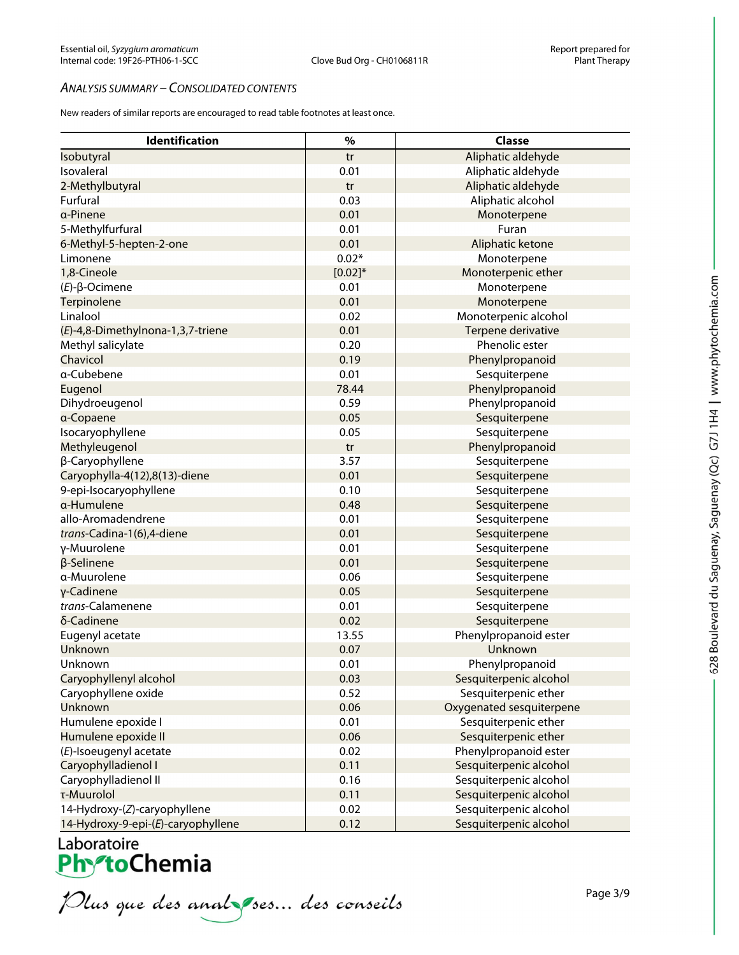#### *ANALYSIS SUMMARY – CONSOLIDATED CONTENTS*

New readers of similar reports are encouraged to read table footnotes at least once.

| Identification                     | $\%$      | <b>Classe</b>            |
|------------------------------------|-----------|--------------------------|
| Isobutyral                         | tr        | Aliphatic aldehyde       |
| Isovaleral                         | 0.01      | Aliphatic aldehyde       |
| 2-Methylbutyral                    | tr        | Aliphatic aldehyde       |
| Furfural                           | 0.03      | Aliphatic alcohol        |
| a-Pinene                           | 0.01      | Monoterpene              |
| 5-Methylfurfural                   | 0.01      | Furan                    |
| 6-Methyl-5-hepten-2-one            | 0.01      | Aliphatic ketone         |
| Limonene                           | $0.02*$   | Monoterpene              |
| 1,8-Cineole                        | $[0.02]*$ | Monoterpenic ether       |
| $(E)-\beta$ -Ocimene               | 0.01      | Monoterpene              |
| Terpinolene                        | 0.01      | Monoterpene              |
| Linalool                           | 0.02      | Monoterpenic alcohol     |
| (E)-4,8-Dimethylnona-1,3,7-triene  | 0.01      | Terpene derivative       |
| Methyl salicylate                  | 0.20      | Phenolic ester           |
| Chavicol                           | 0.19      | Phenylpropanoid          |
| a-Cubebene                         | 0.01      | Sesquiterpene            |
| Eugenol                            | 78.44     | Phenylpropanoid          |
| Dihydroeugenol                     | 0.59      | Phenylpropanoid          |
| a-Copaene                          | 0.05      | Sesquiterpene            |
| Isocaryophyllene                   | 0.05      | Sesquiterpene            |
| Methyleugenol                      | tr        | Phenylpropanoid          |
| β-Caryophyllene                    | 3.57      | Sesquiterpene            |
| Caryophylla-4(12),8(13)-diene      | 0.01      | Sesquiterpene            |
| 9-epi-Isocaryophyllene             | 0.10      | Sesquiterpene            |
| α-Humulene                         | 0.48      | Sesquiterpene            |
| allo-Aromadendrene                 | 0.01      | Sesquiterpene            |
| trans-Cadina-1(6),4-diene          | 0.01      | Sesquiterpene            |
| γ-Muurolene                        | 0.01      | Sesquiterpene            |
| β-Selinene                         | 0.01      | Sesquiterpene            |
| α-Muurolene                        | 0.06      | Sesquiterpene            |
| γ-Cadinene                         | 0.05      | Sesquiterpene            |
| trans-Calamenene                   | 0.01      | Sesquiterpene            |
| δ-Cadinene                         | 0.02      | Sesquiterpene            |
| Eugenyl acetate                    | 13.55     | Phenylpropanoid ester    |
| Unknown                            | 0.07      | Unknown                  |
| Unknown                            | 0.01      | Phenylpropanoid          |
| Caryophyllenyl alcohol             | 0.03      | Sesquiterpenic alcohol   |
| Caryophyllene oxide                | 0.52      | Sesquiterpenic ether     |
| Unknown                            | 0.06      | Oxygenated sesquiterpene |
| Humulene epoxide I                 | 0.01      | Sesquiterpenic ether     |
| Humulene epoxide II                | 0.06      | Sesquiterpenic ether     |
| (E)-Isoeugenyl acetate             | 0.02      | Phenylpropanoid ester    |
| Caryophylladienol I                | 0.11      | Sesquiterpenic alcohol   |
| Caryophylladienol II               | 0.16      | Sesquiterpenic alcohol   |
| τ-Muurolol                         | 0.11      | Sesquiterpenic alcohol   |
| 14-Hydroxy-(Z)-caryophyllene       | 0.02      | Sesquiterpenic alcohol   |
| 14-Hydroxy-9-epi-(E)-caryophyllene | 0.12      | Sesquiterpenic alcohol   |

Laboratoire<br>Ph<sup>y</sup>toChemia<br>*Plus que des analyses... des conseils*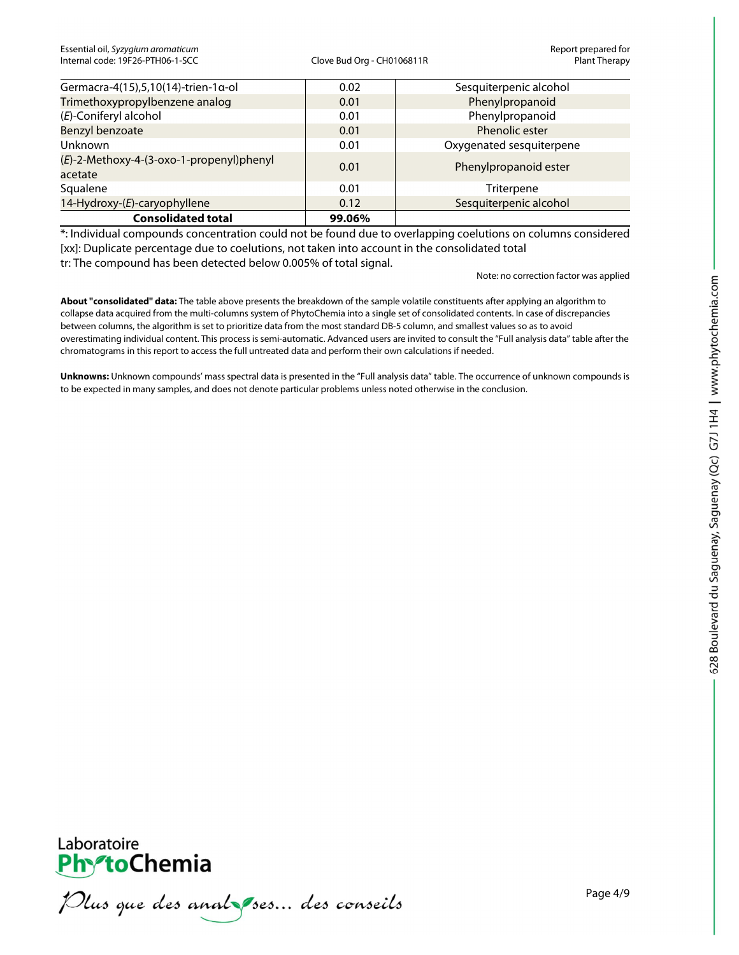| <b>Consolidated total</b>                           | 99.06% |                          |
|-----------------------------------------------------|--------|--------------------------|
| 14-Hydroxy-(E)-caryophyllene                        | 0.12   | Sesquiterpenic alcohol   |
| Squalene                                            | 0.01   | Triterpene               |
| (E)-2-Methoxy-4-(3-oxo-1-propenyl)phenyl<br>acetate | 0.01   | Phenylpropanoid ester    |
| Unknown                                             | 0.01   | Oxygenated sesquiterpene |
| Benzyl benzoate                                     | 0.01   | Phenolic ester           |
| (E)-Coniferyl alcohol                               | 0.01   | Phenylpropanoid          |
| Trimethoxypropylbenzene analog                      | 0.01   | Phenylpropanoid          |
| Germacra-4(15),5,10(14)-trien-1α-ol                 | 0.02   | Sesquiterpenic alcohol   |

\*: Individual compounds concentration could not be found due to overlapping coelutions on columns considered [xx]: Duplicate percentage due to coelutions, not taken into account in the consolidated total tr: The compound has been detected below 0.005% of total signal.

Note: no correction factor was applied

**About "consolidated" data:** The table above presents the breakdown of the sample volatile constituents after applying an algorithm to collapse data acquired from the multi-columns system of PhytoChemia into a single set of consolidated contents. In case of discrepancies between columns, the algorithm is set to prioritize data from the most standard DB-5 column, and smallest values so as to avoid overestimating individual content. This process is semi-automatic. Advanced users are invited to consult the "Full analysis data" table after the chromatograms in this report to access the full untreated data and perform their own calculations if needed.

**Unknowns:** Unknown compounds' mass spectral data is presented in the "Full analysis data" table. The occurrence of unknown compounds is to be expected in many samples, and does not denote particular problems unless noted otherwise in the conclusion.



Plus que des analzes... des conseils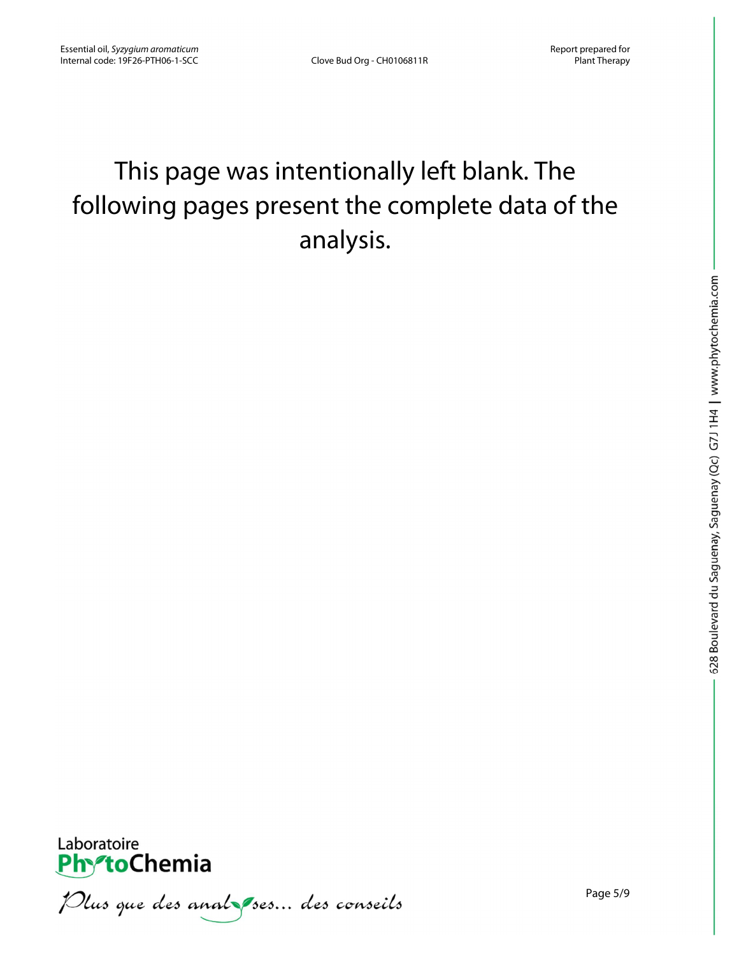# This page was intentionally left blank. The following pages present the complete data of the analysis.



Plus que des analzes... des conseils

Page 5/9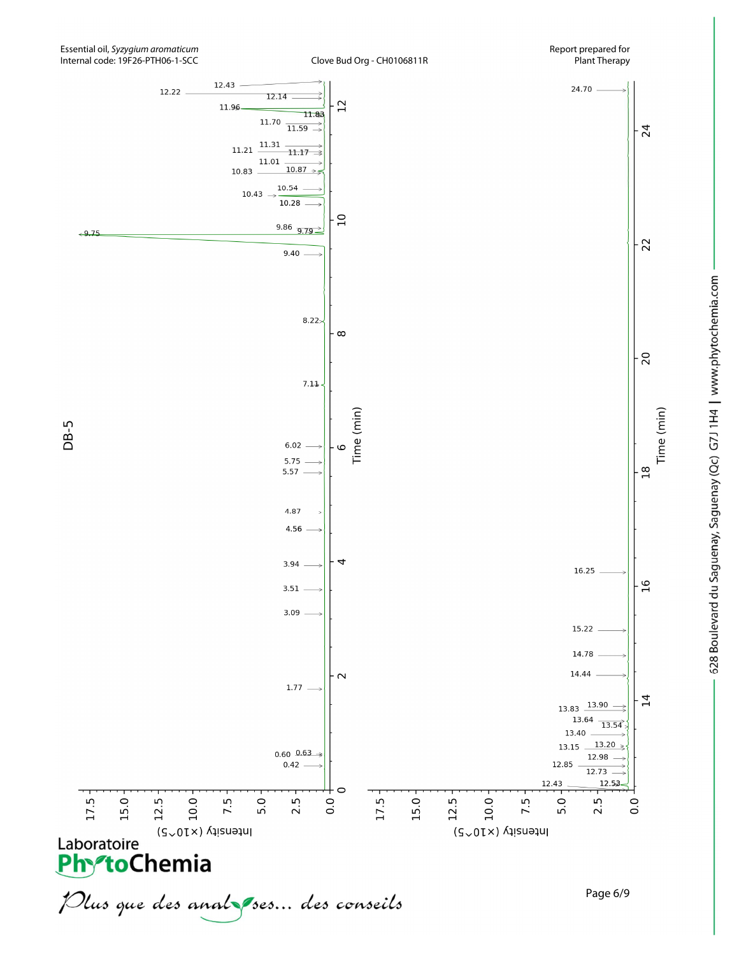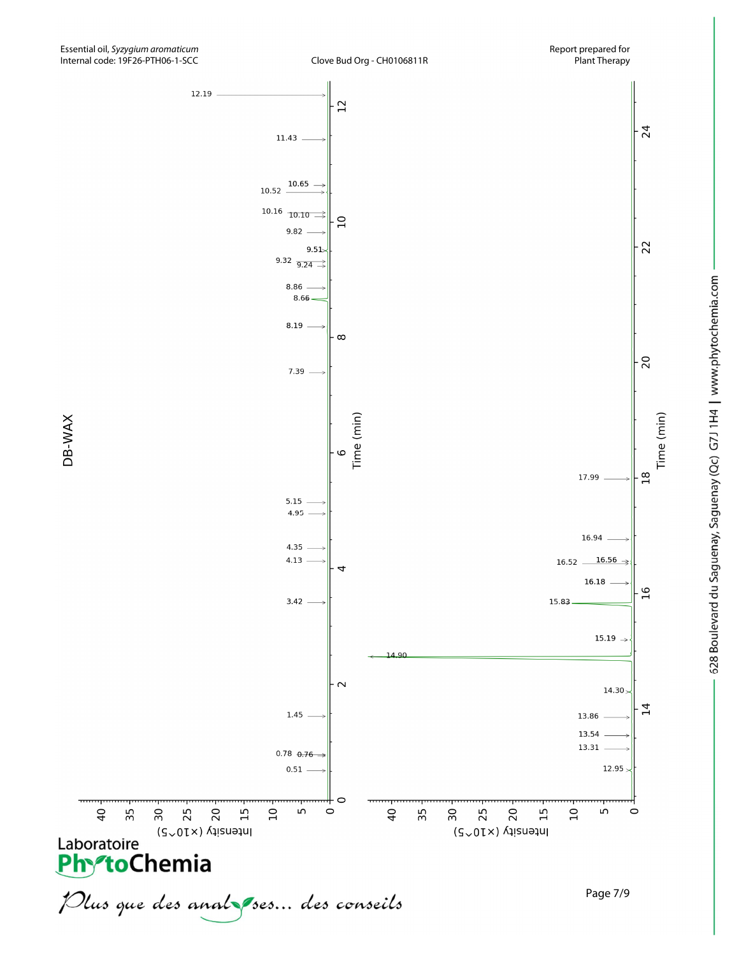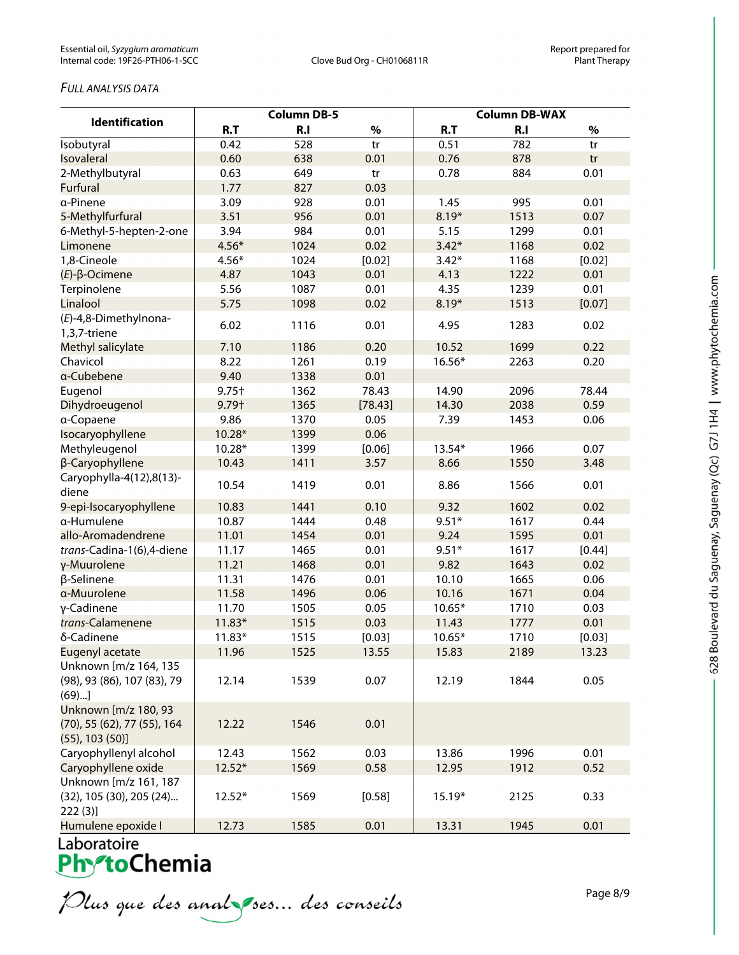### *FULL ANALYSIS DATA*

| <b>Identification</b>                                                        | <b>Column DB-5</b> |      |         | <b>Column DB-WAX</b> |                |        |  |
|------------------------------------------------------------------------------|--------------------|------|---------|----------------------|----------------|--------|--|
|                                                                              | R.T                | R.I  | $\%$    | R.T                  | R <sub>1</sub> | $\%$   |  |
| Isobutyral                                                                   | 0.42               | 528  | tr      | 0.51                 | 782            | tr     |  |
| Isovaleral                                                                   | 0.60               | 638  | 0.01    | 0.76                 | 878            | tr     |  |
| 2-Methylbutyral                                                              | 0.63               | 649  | tr      | 0.78                 | 884            | 0.01   |  |
| <b>Furfural</b>                                                              | 1.77               | 827  | 0.03    |                      |                |        |  |
| a-Pinene                                                                     | 3.09               | 928  | 0.01    | 1.45                 | 995            | 0.01   |  |
| 5-Methylfurfural                                                             | 3.51               | 956  | 0.01    | $8.19*$              | 1513           | 0.07   |  |
| 6-Methyl-5-hepten-2-one                                                      | 3.94               | 984  | 0.01    | 5.15                 | 1299           | 0.01   |  |
| Limonene                                                                     | $4.56*$            | 1024 | 0.02    | $3.42*$              | 1168           | 0.02   |  |
| 1,8-Cineole                                                                  | $4.56*$            | 1024 | [0.02]  | $3.42*$              | 1168           | [0.02] |  |
| $(E)$ - $\beta$ -Ocimene                                                     | 4.87               | 1043 | 0.01    | 4.13                 | 1222           | 0.01   |  |
| Terpinolene                                                                  | 5.56               | 1087 | 0.01    | 4.35                 | 1239           | 0.01   |  |
| Linalool                                                                     | 5.75               | 1098 | 0.02    | $8.19*$              | 1513           | [0.07] |  |
| (E)-4,8-Dimethylnona-<br>1,3,7-triene                                        | 6.02               | 1116 | 0.01    | 4.95                 | 1283           | 0.02   |  |
| Methyl salicylate                                                            | 7.10               | 1186 | 0.20    | 10.52                | 1699           | 0.22   |  |
| Chavicol                                                                     | 8.22               | 1261 | 0.19    | 16.56*               | 2263           | 0.20   |  |
| a-Cubebene                                                                   | 9.40               | 1338 | 0.01    |                      |                |        |  |
| Eugenol                                                                      | $9.75+$            | 1362 | 78.43   | 14.90                | 2096           | 78.44  |  |
| Dihydroeugenol                                                               | 9.79+              | 1365 | [78.43] | 14.30                | 2038           | 0.59   |  |
| a-Copaene                                                                    | 9.86               | 1370 | 0.05    | 7.39                 | 1453           | 0.06   |  |
| Isocaryophyllene                                                             | 10.28*             | 1399 | 0.06    |                      |                |        |  |
| Methyleugenol                                                                | 10.28*             | 1399 | [0.06]  | 13.54*               | 1966           | 0.07   |  |
| β-Caryophyllene                                                              | 10.43              | 1411 | 3.57    | 8.66                 | 1550           | 3.48   |  |
| Caryophylla-4(12),8(13)-<br>diene                                            | 10.54              | 1419 | 0.01    | 8.86                 | 1566           | 0.01   |  |
| 9-epi-Isocaryophyllene                                                       | 10.83              | 1441 | 0.10    | 9.32                 | 1602           | 0.02   |  |
| α-Humulene                                                                   | 10.87              | 1444 | 0.48    | $9.51*$              | 1617           | 0.44   |  |
| allo-Aromadendrene                                                           | 11.01              | 1454 | 0.01    | 9.24                 | 1595           | 0.01   |  |
| trans-Cadina-1(6),4-diene                                                    | 11.17              | 1465 | 0.01    | $9.51*$              | 1617           | [0.44] |  |
| γ-Muurolene                                                                  | 11.21              | 1468 | 0.01    | 9.82                 | 1643           | 0.02   |  |
| β-Selinene                                                                   | 11.31              | 1476 | 0.01    | 10.10                | 1665           | 0.06   |  |
| a-Muurolene                                                                  | 11.58              | 1496 | 0.06    | 10.16                | 1671           | 0.04   |  |
| γ-Cadinene                                                                   | 11.70              | 1505 | 0.05    | $10.65*$             | 1710           | 0.03   |  |
| trans-Calamenene                                                             | $11.83*$           | 1515 | 0.03    | 11.43                | 1777           | 0.01   |  |
| δ-Cadinene                                                                   | $11.83*$           | 1515 | [0.03]  | $10.65*$             | 1710           | [0.03] |  |
| Eugenyl acetate                                                              | 11.96              | 1525 | 13.55   | 15.83                | 2189           | 13.23  |  |
| Unknown [m/z 164, 135<br>(98), 93 (86), 107 (83), 79<br>(69)                 | 12.14              | 1539 | 0.07    | 12.19                | 1844           | 0.05   |  |
| Unknown [m/z 180, 93<br>(70), 55 (62), 77 (55), 164<br>$(55)$ , 103 $(50)$ ] | 12.22              | 1546 | 0.01    |                      |                |        |  |
| Caryophyllenyl alcohol                                                       | 12.43              | 1562 | 0.03    | 13.86                | 1996           | 0.01   |  |
| Caryophyllene oxide                                                          | $12.52*$           | 1569 | 0.58    | 12.95                | 1912           | 0.52   |  |
| Unknown [m/z 161, 187<br>(32), 105 (30), 205 (24)<br>222(3)                  | $12.52*$           | 1569 | [0.58]  | $15.19*$             | 2125           | 0.33   |  |
| Humulene epoxide I                                                           | 12.73              | 1585 | 0.01    | 13.31                | 1945           | 0.01   |  |

Laboratoire<br>**Phy<sup>s</sup>toChemia** 

Plus que des analzes... des conseils